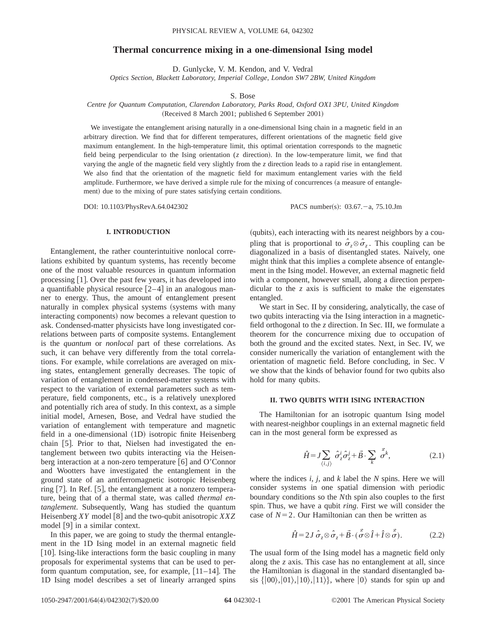# **Thermal concurrence mixing in a one-dimensional Ising model**

D. Gunlycke, V. M. Kendon, and V. Vedral

*Optics Section, Blackett Laboratory, Imperial College, London SW7 2BW, United Kingdom*

S. Bose

## *Centre for Quantum Computation, Clarendon Laboratory, Parks Road, Oxford OX1 3PU, United Kingdom* (Received 8 March 2001; published 6 September 2001)

We investigate the entanglement arising naturally in a one-dimensional Ising chain in a magnetic field in an arbitrary direction. We find that for different temperatures, different orientations of the magnetic field give maximum entanglement. In the high-temperature limit, this optimal orientation corresponds to the magnetic field being perpendicular to the Ising orientation (*z* direction). In the low-temperature limit, we find that varying the angle of the magnetic field very slightly from the *z* direction leads to a rapid rise in entanglement. We also find that the orientation of the magnetic field for maximum entanglement varies with the field amplitude. Furthermore, we have derived a simple rule for the mixing of concurrences (a measure of entanglement) due to the mixing of pure states satisfying certain conditions.

## **I. INTRODUCTION**

Entanglement, the rather counterintuitive nonlocal correlations exhibited by quantum systems, has recently become one of the most valuable resources in quantum information processing  $[1]$ . Over the past few years, it has developed into a quantifiable physical resource  $\lceil 2-4 \rceil$  in an analogous manner to energy. Thus, the amount of entanglement present naturally in complex physical systems (systems with many interacting components) now becomes a relevant question to ask. Condensed-matter physicists have long investigated correlations between parts of composite systems. Entanglement is the *quantum* or *nonlocal* part of these correlations. As such, it can behave very differently from the total correlations. For example, while correlations are averaged on mixing states, entanglement generally decreases. The topic of variation of entanglement in condensed-matter systems with respect to the variation of external parameters such as temperature, field components, etc., is a relatively unexplored and potentially rich area of study. In this context, as a simple initial model, Arnesen, Bose, and Vedral have studied the variation of entanglement with temperature and magnetic field in a one-dimensional (1D) isotropic finite Heisenberg chain [5]. Prior to that, Nielsen had investigated the entanglement between two qubits interacting via the Heisenberg interaction at a non-zero temperature  $[6]$  and O'Connor and Wootters have investigated the entanglement in the ground state of an antiferromagnetic isotropic Heisenberg ring  $[7]$ . In Ref.  $[5]$ , the entanglement at a nonzero temperature, being that of a thermal state, was called *thermal entanglement*. Subsequently, Wang has studied the quantum Heisenberg *XY* model [8] and the two-qubit anisotropic *XXZ* model  $[9]$  in a similar context.

In this paper, we are going to study the thermal entanglement in the 1D Ising model in an external magnetic field [10]. Ising-like interactions form the basic coupling in many proposals for experimental systems that can be used to perform quantum computation, see, for example,  $[11-14]$ . The 1D Ising model describes a set of linearly arranged spins

DOI: 10.1103/PhysRevA.64.042302 PACS number(s): 03.67.-a, 75.10.Jm

(qubits), each interacting with its nearest neighbors by a coupling that is proportional to  $\hat{\sigma}_z \otimes \hat{\sigma}_z$ . This coupling can be diagonalized in a basis of disentangled states. Naively, one might think that this implies a complete absence of entanglement in the Ising model. However, an external magnetic field with a component, however small, along a direction perpendicular to the *z* axis is sufficient to make the eigenstates entangled.

We start in Sec. II by considering, analytically, the case of two qubits interacting via the Ising interaction in a magneticfield orthogonal to the *z* direction. In Sec. III, we formulate a theorem for the concurrence mixing due to occupation of both the ground and the excited states. Next, in Sec. IV, we consider numerically the variation of entanglement with the orientation of magnetic field. Before concluding, in Sec. V we show that the kinds of behavior found for two qubits also hold for many qubits.

## **II. TWO QUBITS WITH ISING INTERACTION**

The Hamiltonian for an isotropic quantum Ising model with nearest-neighbor couplings in an external magnetic field can in the most general form be expressed as

$$
\hat{H} = J \sum_{\langle i,j \rangle} \hat{\sigma}_z^i \hat{\sigma}_z^j + \vec{B} \cdot \sum_k \vec{\sigma}^k, \tag{2.1}
$$

where the indices *i*, *j*, and *k* label the *N* spins. Here we will consider systems in one spatial dimension with periodic boundary conditions so the *N*th spin also couples to the first spin. Thus, we have a qubit *ring*. First we will consider the case of  $N=2$ . Our Hamiltonian can then be written as

$$
\hat{H} = 2J \hat{\sigma}_z \otimes \hat{\sigma}_z + \vec{B} \cdot (\vec{\hat{\sigma}} \otimes \hat{I} + \hat{I} \otimes \vec{\hat{\sigma}}).
$$
 (2.2)

The usual form of the Ising model has a magnetic field only along the *z* axis. This case has no entanglement at all, since the Hamiltonian is diagonal in the standard disentangled basis  $\{|00\rangle, |01\rangle, |10\rangle, |11\rangle\}$ , where  $|0\rangle$  stands for spin up and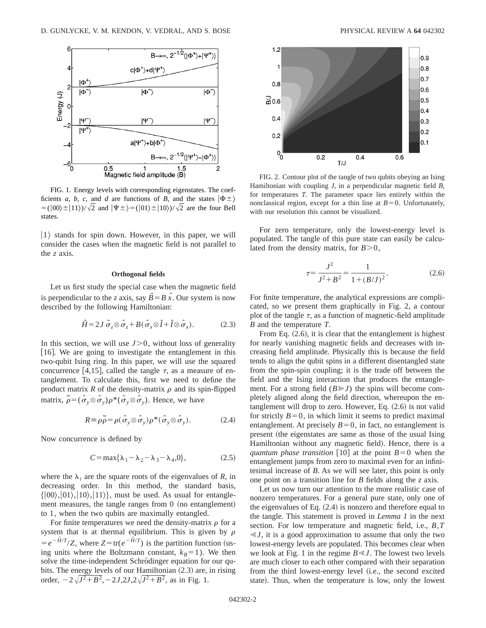

FIG. 1. Energy levels with corresponding eigenstates. The coefficients *a*, *b*, *c*, and *d* are functions of *B*, and the states  $|\Phi \pm \rangle$  $=(|00\rangle \pm |11\rangle)/\sqrt{2}$  and  $|\Psi \pm \rangle = (|01\rangle \pm |10\rangle)/\sqrt{2}$  are the four Bell states.

 $|1\rangle$  stands for spin down. However, in this paper, we will consider the cases when the magnetic field is not parallel to the *z* axis.

## **Orthogonal fields**

Let us first study the special case when the magnetic field is perpendicular to the *z* axis, say  $\overrightarrow{B} = B \overrightarrow{x}$ . Our system is now described by the following Hamiltonian:

$$
\hat{H} = 2J \hat{\sigma}_z \otimes \hat{\sigma}_z + B(\hat{\sigma}_x \otimes \hat{I} + \hat{I} \otimes \hat{\sigma}_x). \tag{2.3}
$$

In this section, we will use  $J>0$ , without loss of generality [16]. We are going to investigate the entanglement in this two-qubit Ising ring. In this paper, we will use the squared concurrence [4,15], called the tangle  $\tau$ , as a measure of entanglement. To calculate this, first we need to define the product matrix  $R$  of the density-matrix  $\rho$  and its spin-flipped matrix,  $\tilde{\rho} = (\hat{\sigma}_y \otimes \hat{\sigma}_y) \rho^* (\hat{\sigma}_y \otimes \hat{\sigma}_y)$ . Hence, we have

$$
R \equiv \rho \widetilde{\rho} = \rho(\hat{\sigma}_y \otimes \hat{\sigma}_y) \rho^* (\hat{\sigma}_y \otimes \hat{\sigma}_y). \tag{2.4}
$$

Now concurrence is defined by

$$
C = \max\{\lambda_1 - \lambda_2 - \lambda_3 - \lambda_4, 0\},\tag{2.5}
$$

where the  $\lambda_i$  are the square roots of the eigenvalues of *R*, in decreasing order. In this method, the standard basis,  $\{|00\rangle, |01\rangle, |10\rangle, |11\rangle\}$ , must be used. As usual for entanglement measures, the tangle ranges from  $\theta$  (no entanglement) to 1, when the two qubits are maximally entangled.

For finite temperatures we need the density-matrix  $\rho$  for a system that is at thermal equilibrium. This is given by  $\rho$  $= e^{-\hat{H}/T}/Z$ , where  $Z = \text{tr}(e^{-\hat{H}/T})$  is the partition function (using units where the Boltzmann constant,  $k_B=1$ ). We then solve the time-independent Schrödinger equation for our qubits. The energy levels of our Hamiltonian  $(2.3)$  are, in rising order,  $-2\sqrt{J^2+B^2}$ ,  $-2J$ ,  $2J$ ,  $2\sqrt{J^2+B^2}$ , as in Fig. 1.



FIG. 2. Contour plot of the tangle of two qubits obeying an Ising Hamiltonian with coupling *J*, in a perpendicular magnetic field *B*, for temperatures *T*. The parameter space lies entirely within the nonclassical region, except for a thin line at  $B=0$ . Unfortunately, with our resolution this cannot be visualized.

For zero temperature, only the lowest-energy level is populated. The tangle of this pure state can easily be calculated from the density matrix, for  $B > 0$ ,

$$
\tau = \frac{J^2}{J^2 + B^2} = \frac{1}{1 + (B/J)^2}.
$$
\n(2.6)

For finite temperature, the analytical expressions are complicated, so we present them graphically in Fig. 2, a contour plot of the tangle  $\tau$ , as a function of magnetic-field amplitude *B* and the temperature *T*.

From Eq.  $(2.6)$ , it is clear that the entanglement is highest for nearly vanishing magnetic fields and decreases with increasing field amplitude. Physically this is because the field tends to align the qubit spins in a different disentangled state from the spin-spin coupling; it is the trade off between the field and the Ising interaction that produces the entanglement. For a strong field  $(B \ge J)$  the spins will become completely aligned along the field direction, whereupon the entanglement will drop to zero. However, Eq.  $(2.6)$  is not valid for strictly  $B=0$ , in which limit it seems to predict maximal entanglement. At precisely  $B=0$ , in fact, no entanglement is present (the eigenstates are same as those of the usual Ising Hamiltonian without any magnetic field). Hence, there is a *quantum phase transition* [10] at the point  $B=0$  when the entanglement jumps from zero to maximal even for an infinitesimal increase of *B*. As we will see later, this point is only one point on a transition line for *B* fields along the *z* axis.

Let us now turn our attention to the more realistic case of nonzero temperatures. For a general pure state, only one of the eigenvalues of Eq.  $(2.4)$  is nonzero and therefore equal to the tangle. This statement is proved in *Lemma 1* in the next section. For low temperature and magnetic field, i.e., *B*,*T*  $\leq J$ , it is a good approximation to assume that only the two lowest-energy levels are populated. This becomes clear when we look at Fig. 1 in the regime  $B \ll J$ . The lowest two levels are much closer to each other compared with their separation from the third lowest-energy level (i.e., the second excited state). Thus, when the temperature is low, only the lowest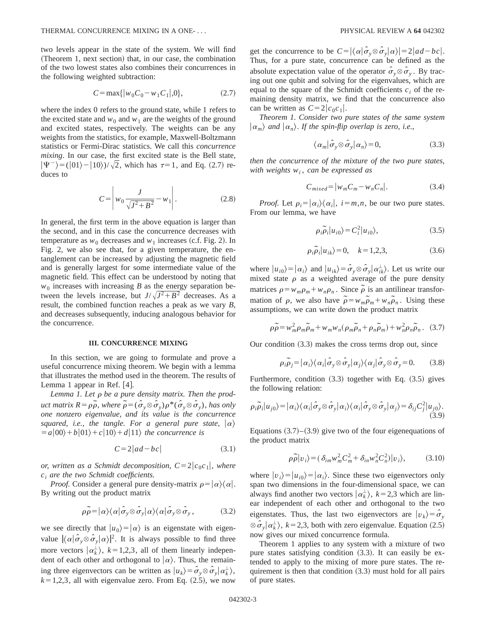two levels appear in the state of the system. We will find  $(Theorem 1, next section)$  that, in our case, the combination of the two lowest states also combines their concurrences in the following weighted subtraction:

$$
C = \max\{|w_0 C_0 - w_1 C_1|, 0\},\tag{2.7}
$$

where the index 0 refers to the ground state, while 1 refers to the excited state and  $w_0$  and  $w_1$  are the weights of the ground and excited states, respectively. The weights can be any weights from the statistics, for example, Maxwell-Boltzmann statistics or Fermi-Dirac statistics. We call this *concurrence mixing*. In our case, the first excited state is the Bell state,  $|\Psi^{-}\rangle = (|01\rangle - |10\rangle)/\sqrt{2}$ , which has  $\tau = 1$ , and Eq. (2.7) reduces to

$$
C = \left| w_0 \frac{J}{\sqrt{J^2 + B^2}} - w_1 \right|.
$$
 (2.8)

In general, the first term in the above equation is larger than the second, and in this case the concurrence decreases with temperature as  $w_0$  decreases and  $w_1$  increases (c.f. Fig. 2). In Fig. 2, we also see that, for a given temperature, the entanglement can be increased by adjusting the magnetic field and is generally largest for some intermediate value of the magnetic field. This effect can be understood by noting that  $w_0$  increases with increasing *B* as the energy separation between the levels increase, but  $J/\sqrt{J^2+B^2}$  decreases. As a result, the combined function reaches a peak as we vary *B*, and decreases subsequently, inducing analogous behavior for the concurrence.

#### **III. CONCURRENCE MIXING**

In this section, we are going to formulate and prove a useful concurrence mixing theorem. We begin with a lemma that illustrates the method used in the theorem. The results of Lemma 1 appear in Ref.  $[4]$ .

Lemma 1. Let  $\rho$  be a pure density matrix. Then the prod*uct matrix R* =  $\rho \tilde{\rho}$ , *where*  $\tilde{\rho} = (\hat{\sigma}_y \otimes \hat{\sigma}_y) \rho^* (\hat{\sigma}_y \otimes \hat{\sigma}_y)$ , *has only one nonzero eigenvalue, and its value is the concurrence squared, i.e., the tangle. For a general pure state,*  $|\alpha\rangle$  $\langle a|00\rangle + b|01\rangle + c|10\rangle + d|11\rangle$  the concurrence is

$$
C = 2|ad - bc| \tag{3.1}
$$

*or, written as a Schmidt decomposition,*  $C=2|c_0c_1|$ *, where ci are the two Schmidt coefficients.*

*Proof.* Consider a general pure density-matrix  $\rho = |\alpha\rangle\langle\alpha|$ . By writing out the product matrix

$$
\rho \widetilde{\rho} = |\alpha\rangle\langle\alpha|\hat{\sigma}_y \otimes \hat{\sigma}_y|\alpha\rangle\langle\alpha|\hat{\sigma}_y \otimes \hat{\sigma}_y, \qquad (3.2)
$$

we see directly that  $|u_0\rangle = |\alpha\rangle$  is an eigenstate with eigenvalue  $\langle \alpha | \hat{\sigma}_y \otimes \hat{\sigma}_y | \alpha \rangle^2$ . It is always possible to find three more vectors  $|\alpha_k^{\perp}\rangle$ ,  $k=1,2,3$ , all of them linearly independent of each other and orthogonal to  $\ket{\alpha}$ . Thus, the remaining three eigenvectors can be written as  $|u_k\rangle = \hat{\sigma}_y \otimes \hat{\sigma}_y |\alpha_k^{\perp}\rangle$ ,  $k=1,2,3$ , all with eigenvalue zero. From Eq.  $(2.5)$ , we now get the concurrence to be  $C = |\langle \alpha | \hat{\sigma}_v \otimes \hat{\sigma}_v | \alpha \rangle| = 2|ad-bc|$ . Thus, for a pure state, concurrence can be defined as the absolute expectation value of the operator  $\hat{\sigma}_y \otimes \hat{\sigma}_y$ . By tracing out one qubit and solving for the eigenvalues, which are equal to the square of the Schmidt coefficients  $c_i$  of the remaining density matrix, we find that the concurrence also can be written as  $C=2|c_0c_1|$ .

*Theorem 1. Consider two pure states of the same system*  $\vert \alpha_m \rangle$  and  $\vert \alpha_n \rangle$ . If the spin-flip overlap is zero, i.e.,

$$
\langle \alpha_m | \hat{\sigma}_y \otimes \hat{\sigma}_y | \alpha_n \rangle = 0, \tag{3.3}
$$

*then the concurrence of the mixture of the two pure states, with weights wi* , *can be expressed as*

$$
C_{mixed} = |w_m C_m - w_n C_n|.
$$
 (3.4)

*Proof.* Let  $\rho_i = |\alpha_i\rangle\langle\alpha_i|$ ,  $i = m, n$ , be our two pure states. From our lemma, we have

$$
\rho_i \tilde{\rho}_i |u_{i0}\rangle = C_i^2 |u_{i0}\rangle,\tag{3.5}
$$

$$
\rho_i \widetilde{\rho}_i |u_{ik}\rangle = 0, \quad k = 1, 2, 3,
$$
\n(3.6)

where  $|u_{i0}\rangle = |\alpha_i\rangle$  and  $|u_{ik}\rangle = \hat{\sigma}_y \otimes \hat{\sigma}_y |\alpha_{ik}^{\perp}\rangle$ . Let us write our mixed state  $\rho$  as a weighted average of the pure density matrices  $\rho = w_m \rho_m + w_n \rho_n$ . Since  $\tilde{\rho}$  is an antilinear transformation of  $\rho$ , we also have  $\tilde{\rho} = w_m \tilde{\rho}_m + w_n \tilde{\rho}_n$ . Using these assumptions, we can write down the product matrix

$$
\rho \widetilde{\rho} = w_m^2 \rho_m \widetilde{\rho}_m + w_m w_n (\rho_m \widetilde{\rho}_n + \rho_n \widetilde{\rho}_m) + w_n^2 \rho_n \widetilde{\rho}_n. \quad (3.7)
$$

Our condition  $(3.3)$  makes the cross terms drop out, since

$$
\rho_i \tilde{\rho}_j = |\alpha_i\rangle \langle \alpha_i |\hat{\sigma}_y \otimes \hat{\sigma}_y | \alpha_j \rangle \langle \alpha_j |\hat{\sigma}_y \otimes \hat{\sigma}_y = 0. \qquad (3.8)
$$

Furthermore, condition  $(3.3)$  together with Eq.  $(3.5)$  gives the following relation:

$$
\rho_i \widetilde{\rho}_i |u_{j0}\rangle = |\alpha_i\rangle \langle \alpha_i |\hat{\sigma}_y \otimes \hat{\sigma}_y | \alpha_i\rangle \langle \alpha_i |\hat{\sigma}_y \otimes \hat{\sigma}_y | \alpha_j\rangle = \delta_{ij} C_j^2 |u_{j0}\rangle.
$$
\n(3.9)

Equations  $(3.7)$ – $(3.9)$  give two of the four eigenequations of the product matrix

$$
\rho \widetilde{\rho} |v_i\rangle = (\delta_{im} w_m^2 C_m^2 + \delta_{in} w_n^2 C_n^2) |v_i\rangle, \tag{3.10}
$$

where  $|v_i\rangle = |u_{i0}\rangle = |\alpha_i\rangle$ . Since these two eigenvectors only span two dimensions in the four-dimensional space, we can always find another two vectors  $|\alpha_k^{\perp}\rangle$ ,  $k=2,3$  which are linear independent of each other and orthogonal to the two eigenstates. Thus, the last two eigenvectors are  $|v_k\rangle = \hat{\sigma}_v$  $\langle \hat{\sigma}_y | \alpha_k^{\perp} \rangle$ ,  $k = 2,3$ , both with zero eigenvalue. Equation (2.5) now gives our mixed concurrence formula.

Theorem 1 applies to any system with a mixture of two pure states satisfying condition  $(3.3)$ . It can easily be extended to apply to the mixing of more pure states. The requirement is then that condition  $(3.3)$  must hold for all pairs of pure states.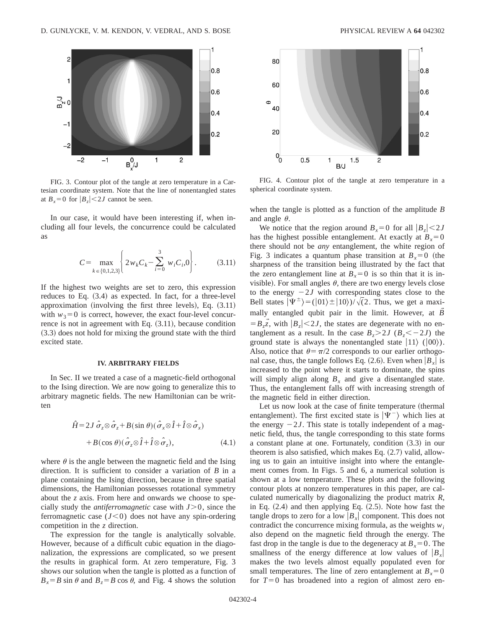

FIG. 3. Contour plot of the tangle at zero temperature in a Cartesian coordinate system. Note that the line of nonentangled states at  $B_x=0$  for  $|B_z|<2J$  cannot be seen.

In our case, it would have been interesting if, when including all four levels, the concurrence could be calculated as

$$
C = \max_{k \in \{0, 1, 2, 3\}} \left\{ 2w_k C_k - \sum_{i=0}^{3} w_i C_i, 0 \right\}.
$$
 (3.11)

If the highest two weights are set to zero, this expression reduces to Eq.  $(3.4)$  as expected. In fact, for a three-level approximation (involving the first three levels), Eq.  $(3.11)$ with  $w_3=0$  is correct, however, the exact four-level concurrence is not in agreement with Eq.  $(3.11)$ , because condition  $(3.3)$  does not hold for mixing the ground state with the third excited state.

### **IV. ARBITRARY FIELDS**

In Sec. II we treated a case of a magnetic-field orthogonal to the Ising direction. We are now going to generalize this to arbitrary magnetic fields. The new Hamiltonian can be written

$$
\hat{H} = 2J \hat{\sigma}_z \otimes \hat{\sigma}_z + B(\sin \theta) (\hat{\sigma}_x \otimes \hat{I} + \hat{I} \otimes \hat{\sigma}_x) \n+ B(\cos \theta) (\hat{\sigma}_z \otimes \hat{I} + \hat{I} \otimes \hat{\sigma}_z),
$$
\n(4.1)

where  $\theta$  is the angle between the magnetic field and the Ising direction. It is sufficient to consider a variation of *B* in a plane containing the Ising direction, because in three spatial dimensions, the Hamiltonian possesses rotational symmetry about the *z* axis. From here and onwards we choose to specially study the *antiferromagnetic* case with *J*.0, since the ferromagnetic case  $(J<0)$  does not have any spin-ordering competition in the *z* direction.

The expression for the tangle is analytically solvable. However, because of a difficult cubic equation in the diagonalization, the expressions are complicated, so we present the results in graphical form. At zero temperature, Fig. 3 shows our solution when the tangle is plotted as a function of  $B_r = B \sin \theta$  and  $B_r = B \cos \theta$ , and Fig. 4 shows the solution



FIG. 4. Contour plot of the tangle at zero temperature in a spherical coordinate system.

when the tangle is plotted as a function of the amplitude *B* and angle  $\theta$ .

We notice that the region around  $B_r = 0$  for all  $|B_r| < 2J$ has the highest possible entanglement. At exactly at  $B_r = 0$ there should not be *any* entanglement, the white region of Fig. 3 indicates a quantum phase transition at  $B_x=0$  (the sharpness of the transition being illustrated by the fact that the zero entanglement line at  $B_r = 0$  is so thin that it is invisible). For small angles  $\theta$ , there are two energy levels close to the energy  $-2J$  with corresponding states close to the Bell states  $|\Psi^{\pm}\rangle = (|01\rangle \pm |10\rangle)/\sqrt{(2}$ . Thus, we get a maximally entangled qubit pair in the limit. However, at  $\tilde{B}$  $= B_z \vec{z}$ , with  $|B_z| < 2J$ , the states are degenerate with no entanglement as a result. In the case  $B_z > 2J$  ( $B_z < -2J$ ) the ground state is always the nonentangled state  $|11\rangle$  ( $|00\rangle$ ). Also, notice that  $\theta = \pi/2$  corresponds to our earlier orthogonal case, thus, the tangle follows Eq.  $(2.6)$ . Even when  $|B_x|$  is increased to the point where it starts to dominate, the spins will simply align along  $B_x$  and give a disentangled state. Thus, the entanglement falls off with increasing strength of the magnetic field in either direction.

Let us now look at the case of finite temperature (thermal entanglement). The first excited state is  $|\Psi^{-}\rangle$  which lies at the energy  $-2J$ . This state is totally independent of a magnetic field, thus, the tangle corresponding to this state forms a constant plane at one. Fortunately, condition  $(3.3)$  in our theorem is also satisfied, which makes Eq.  $(2.7)$  valid, allowing us to gain an intuitive insight into where the entanglement comes from. In Figs. 5 and 6, a numerical solution is shown at a low temperature. These plots and the following contour plots at nonzero temperatures in this paper, are calculated numerically by diagonalizing the product matrix *R*, in Eq.  $(2.4)$  and then applying Eq.  $(2.5)$ . Note how fast the tangle drops to zero for a low  $|B_x|$  component. This does not contradict the concurrence mixing formula, as the weights *wi* also depend on the magnetic field through the energy. The fast drop in the tangle is due to the degeneracy at  $B_r = 0$ . The smallness of the energy difference at low values of  $|B_x|$ makes the two levels almost equally populated even for small temperatures. The line of zero entanglement at  $B_r = 0$ for  $T=0$  has broadened into a region of almost zero en-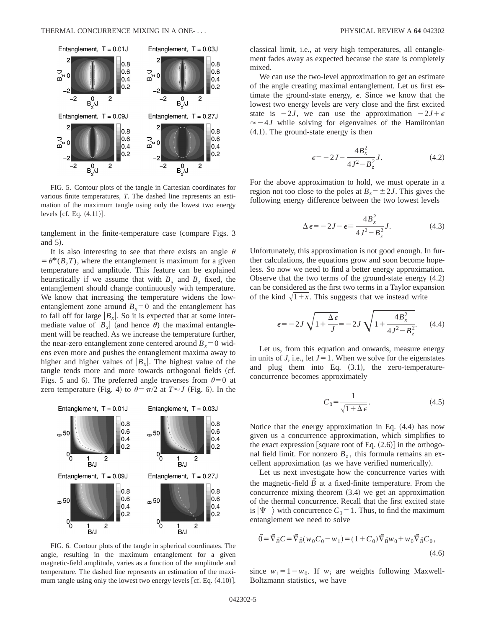

FIG. 5. Contour plots of the tangle in Cartesian coordinates for various finite temperatures, *T*. The dashed line represents an estimation of the maximum tangle using only the lowest two energy levels  $\lceil cf. \text{ Eq. (4.11)} \rceil$ .

tanglement in the finite-temperature case (compare Figs. 3) and  $5$ ).

It is also interesting to see that there exists an angle  $\theta$  $= \theta^*(B,T)$ , where the entanglement is maximum for a given temperature and amplitude. This feature can be explained heuristically if we assume that with  $B_x$  and  $B_z$  fixed, the entanglement should change continuously with temperature. We know that increasing the temperature widens the lowentanglement zone around  $B<sub>x</sub>=0$  and the entanglement has to fall off for large  $|B_x|$ . So it is expected that at some intermediate value of  $|B_x|$  (and hence  $\theta$ ) the maximal entanglement will be reached. As we increase the temperature further, the near-zero entanglement zone centered around  $B_x = 0$  widens even more and pushes the entanglement maxima away to higher and higher values of  $|B_r|$ . The highest value of the tangle tends more and more towards orthogonal fields (cf. Figs. 5 and 6). The preferred angle traverses from  $\theta=0$  at zero temperature (Fig. 4) to  $\theta = \pi/2$  at  $T \approx J$  (Fig. 6). In the



FIG. 6. Contour plots of the tangle in spherical coordinates. The angle, resulting in the maximum entanglement for a given magnetic-field amplitude, varies as a function of the amplitude and temperature. The dashed line represents an estimation of the maximum tangle using only the lowest two energy levels  $[cf. Eq. (4.10)].$ 

classical limit, i.e., at very high temperatures, all entanglement fades away as expected because the state is completely mixed.

We can use the two-level approximation to get an estimate of the angle creating maximal entanglement. Let us first estimate the ground-state energy,  $\epsilon$ . Since we know that the lowest two energy levels are very close and the first excited state is  $-2J$ , we can use the approximation  $-2J+\epsilon$  $\approx$  -4*J* while solving for eigenvalues of the Hamiltonian  $(4.1)$ . The ground-state energy is then

$$
\epsilon = -2J - \frac{4B_x^2}{4J^2 - B_z^2}J.
$$
 (4.2)

For the above approximation to hold, we must operate in a region not too close to the poles at  $B_z = \pm 2J$ . This gives the following energy difference between the two lowest levels

$$
\Delta \epsilon = -2J - \epsilon \equiv \frac{4B_x^2}{4J^2 - B_z^2}J. \tag{4.3}
$$

Unfortunately, this approximation is not good enough. In further calculations, the equations grow and soon become hopeless. So now we need to find a better energy approximation. Observe that the two terms of the ground-state energy  $(4.2)$ can be considered as the first two terms in a Taylor expansion of the kind  $\sqrt{1+x}$ . This suggests that we instead write

$$
\epsilon = -2J\sqrt{1 + \frac{\Delta\epsilon}{J}} = -2J\sqrt{1 + \frac{4B_x^2}{4J^2 - B_z^2}} \qquad (4.4)
$$

Let us, from this equation and onwards, measure energy in units of *J*, i.e., let  $J = 1$ . When we solve for the eigenstates and plug them into Eq.  $(3.1)$ , the zero-temperatureconcurrence becomes approximately

$$
C_0 = \frac{1}{\sqrt{1 + \Delta \epsilon}}.\tag{4.5}
$$

Notice that the energy approximation in Eq.  $(4.4)$  has now given us a concurrence approximation, which simplifies to the exact expression [square root of Eq.  $(2.6)$ ] in the orthogonal field limit. For nonzero  $B_7$ , this formula remains an excellent approximation (as we have verified numerically).

Let us next investigate how the concurrence varies with the magnetic-field  $\vec{B}$  at a fixed-finite temperature. From the concurrence mixing theorem  $(3.4)$  we get an approximation of the thermal concurrence. Recall that the first excited state is  $|\Psi^{-}\rangle$  with concurrence  $C_1=1$ . Thus, to find the maximum entanglement we need to solve

$$
\vec{0} = \vec{\nabla}_{\vec{B}} C = \vec{\nabla}_{\vec{B}} (w_0 C_0 - w_1) = (1 + C_0) \vec{\nabla}_{\vec{B}} w_0 + w_0 \vec{\nabla}_{\vec{B}} C_0,
$$
\n(4.6)

since  $w_1 = 1 - w_0$ . If  $w_i$  are weights following Maxwell-Boltzmann statistics, we have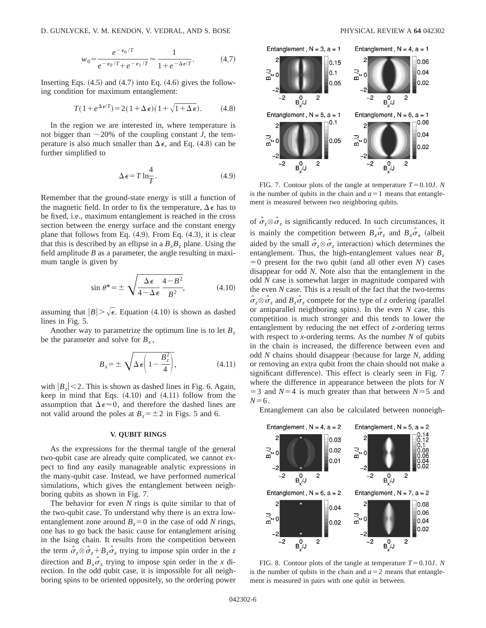D. GUNLYCKE, V. M. KENDON, V. VEDRAL, AND S. BOSE PHYSICAL REVIEW A **64** 042302

$$
w_0 = \frac{e^{-\epsilon_0/T}}{e^{-\epsilon_0/T} + e^{-\epsilon_1/T}} \approx \frac{1}{1 + e^{-\Delta\epsilon/T}}.\tag{4.7}
$$

Inserting Eqs.  $(4.5)$  and  $(4.7)$  into Eq.  $(4.6)$  gives the following condition for maximum entanglement:

$$
T(1 + e^{\Delta \epsilon/T}) = 2(1 + \Delta \epsilon)(1 + \sqrt{1 + \Delta \epsilon}). \tag{4.8}
$$

In the region we are interested in, where temperature is not bigger than  $\sim$  20% of the coupling constant *J*, the temperature is also much smaller than  $\Delta \epsilon$ , and Eq. (4.8) can be further simplified to

$$
\Delta \epsilon = T \ln \frac{4}{T}.
$$
\n(4.9)

Remember that the ground-state energy is still a function of the magnetic field. In order to fix the temperature,  $\Delta \epsilon$  has to be fixed, i.e., maximum entanglement is reached in the cross section between the energy surface and the constant energy plane that follows from Eq.  $(4.9)$ . From Eq.  $(4.3)$ , it is clear that this is described by an ellipse in a  $B<sub>x</sub>B<sub>z</sub>$  plane. Using the field amplitude *B* as a parameter, the angle resulting in maximum tangle is given by

$$
\sin \theta^* = \pm \sqrt{\frac{\Delta \epsilon}{4 - \Delta \epsilon} \frac{4 - B^2}{B^2}},\tag{4.10}
$$

assuming that  $|B| > \sqrt{\epsilon}$ . Equation (4.10) is shown as dashed lines in Fig. 5.

Another way to parametrize the optimum line is to let  $B_7$ be the parameter and solve for  $B_x$ ,

$$
B_x = \pm \sqrt{\Delta \epsilon \left(1 - \frac{B_z^2}{4}\right)},\tag{4.11}
$$

with  $|B_z|$  < 2. This is shown as dashed lines in Fig. 6. Again, keep in mind that Eqs.  $(4.10)$  and  $(4.11)$  follow from the assumption that  $\Delta \epsilon \approx 0$ , and therefore the dashed lines are not valid around the poles at  $B_z = \pm 2$  in Figs. 5 and 6.

#### **V. QUBIT RINGS**

As the expressions for the thermal tangle of the general two-qubit case are already quite complicated, we cannot expect to find any easily manageable analytic expressions in the many-qubit case. Instead, we have performed numerical simulations, which gives the entanglement between neighboring qubits as shown in Fig. 7.

The behavior for even *N* rings is quite similar to that of the two-qubit case. To understand why there is an extra lowentanglement zone around  $B_z = 0$  in the case of odd *N* rings, one has to go back the basic cause for entanglement arising in the Ising chain. It results from the competition between the term  $\hat{\sigma}_z \otimes \hat{\sigma}_z + B_z \hat{\sigma}_z$  trying to impose spin order in the *z* direction and  $B_x \hat{\sigma}_x$  trying to impose spin order in the *x* direction. In the odd qubit case, it is impossible for all neighboring spins to be oriented oppositely, so the ordering power



FIG. 7. Contour plots of the tangle at temperature  $T=0.10J$ . *N* is the number of qubits in the chain and  $a=1$  means that entanglement is measured between two neighboring qubits.

of  $\hat{\sigma}_z \otimes \hat{\sigma}_z$  is significantly reduced. In such circumstances, it is mainly the competition between  $B_z \hat{\sigma}_z$  and  $B_x \hat{\sigma}_x$  (albeit aided by the small  $\hat{\sigma}_z \otimes \hat{\sigma}_z$  interaction) which determines the entanglement. Thus, the high-entanglement values near  $B<sub>z</sub>$  $=0$  present for the two qubit (and all other even *N*) cases disappear for odd *N*. Note also that the entanglement in the odd *N* case is somewhat larger in magnitude compared with the even *N* case. This is a result of the fact that the two-terms  $\hat{\sigma}_z \otimes \hat{\sigma}_z$  and  $B_z \hat{\sigma}_z$  compete for the type of *z* ordering (parallel or antiparallel neighboring spins). In the even *N* case, this competition is much stronger and this tends to lower the entanglement by reducing the net effect of *z*-ordering terms with respect to *x*-ordering terms. As the number *N* of qubits in the chain is increased, the difference between even and odd *N* chains should disappear (because for large *N*, adding or removing an extra qubit from the chain should not make a significant difference). This effect is clearly seen in Fig. 7 where the difference in appearance between the plots for *N*  $=$  3 and *N*=4 is much greater than that between *N*=5 and  $N=6$ .

Entanglement can also be calculated between nonneigh-



FIG. 8. Contour plots of the tangle at temperature  $T=0.10J$ . *N* is the number of qubits in the chain and  $a=2$  means that entanglement is measured in pairs with one qubit in between.